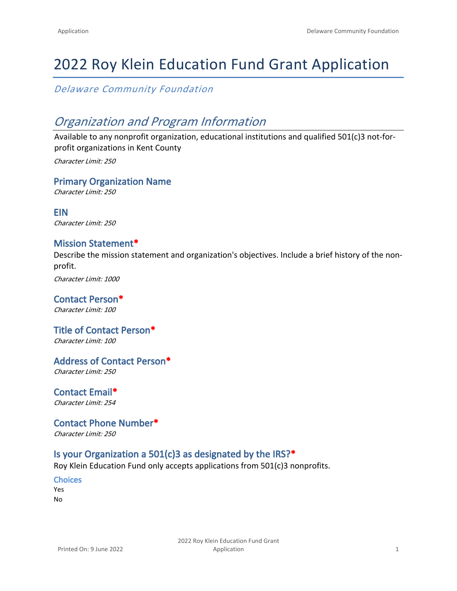# 2022 Roy Klein Education Fund Grant Application

*Delaware Community Foundation*

## *Organization and Program Information*

Available to any nonprofit organization, educational institutions and qualified 501(c)3 not-forprofit organizations in Kent County *Character Limit: 250*

**Primary Organization Name**

*Character Limit: 250*

**EIN** *Character Limit: 250*

### **Mission Statement\***

Describe the mission statement and organization's objectives. Include a brief history of the nonprofit.

*Character Limit: 1000*

**Contact Person\*** *Character Limit: 100*

#### **Title of Contact Person\*** *Character Limit: 100*

**Address of Contact Person\***

*Character Limit: 250*

**Contact Email\*** *Character Limit: 254*

**Contact Phone Number\*** *Character Limit: 250*

## **Is your Organization a 501(c)3 as designated by the IRS?\***

Roy Klein Education Fund only accepts applications from 501(c)3 nonprofits.

**Choices** Yes No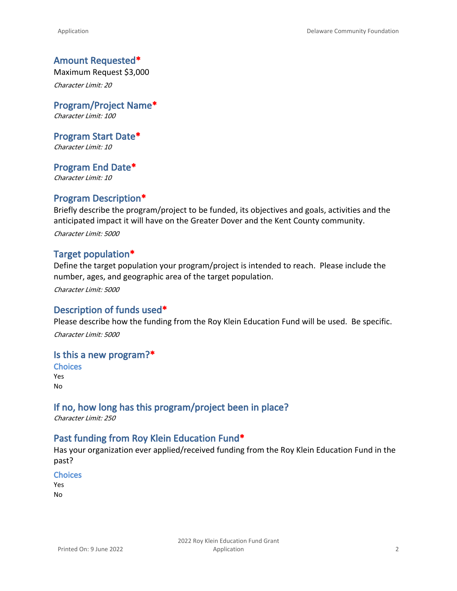#### **Amount Requested\***

Maximum Request \$3,000 *Character Limit: 20*

**Program/Project Name\*** *Character Limit: 100*

**Program Start Date\*** *Character Limit: 10*

**Program End Date\*** *Character Limit: 10*

#### **Program Description\***

Briefly describe the program/project to be funded, its objectives and goals, activities and the anticipated impact it will have on the Greater Dover and the Kent County community. *Character Limit: 5000*

#### **Target population\***

Define the target population your program/project is intended to reach. Please include the number, ages, and geographic area of the target population.

*Character Limit: 5000*

#### **Description of funds used\***

Please describe how the funding from the Roy Klein Education Fund will be used. Be specific. *Character Limit: 5000*

#### **Is this a new program?\***

**Choices** Yes No

## **If no, how long has this program/project been in place?**

*Character Limit: 250*

#### **Past funding from Roy Klein Education Fund\***

Has your organization ever applied/received funding from the Roy Klein Education Fund in the past?

#### **Choices**

Yes No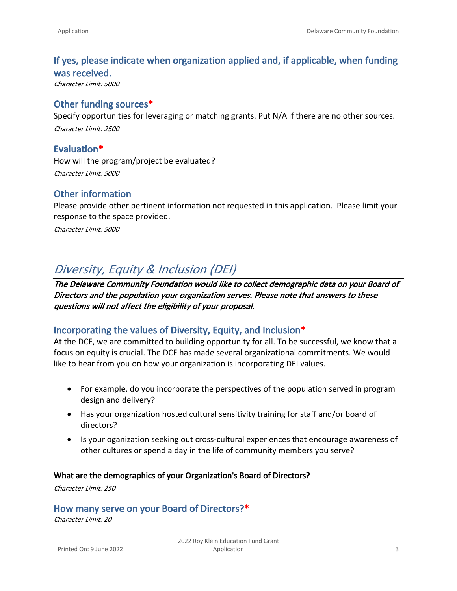## **If yes, please indicate when organization applied and, if applicable, when funding was received.**

*Character Limit: 5000*

### **Other funding sources\***

Specify opportunities for leveraging or matching grants. Put N/A if there are no other sources. *Character Limit: 2500*

**Evaluation\*** How will the program/project be evaluated? *Character Limit: 5000*

## **Other information**

Please provide other pertinent information not requested in this application. Please limit your response to the space provided.

*Character Limit: 5000*

## *Diversity, Equity & Inclusion (DEI)*

*The Delaware Community Foundation would like to collect demographic data on your Board of Directors and the population your organization serves. Please note that answers to these questions will not affect the eligibility of your proposal.*

#### **Incorporating the values of Diversity, Equity, and Inclusion\***

At the DCF, we are committed to building opportunity for all. To be successful, we know that a focus on equity is crucial. The DCF has made several organizational commitments. We would like to hear from you on how your organization is incorporating DEI values.

- For example, do you incorporate the perspectives of the population served in program design and delivery?
- Has your organization hosted cultural sensitivity training for staff and/or board of directors?
- Is your oganization seeking out cross-cultural experiences that encourage awareness of other cultures or spend a day in the life of community members you serve?

#### **What are the demographics of your Organization's Board of Directors?**

*Character Limit: 250*

## **How many serve on your Board of Directors?\***

*Character Limit: 20*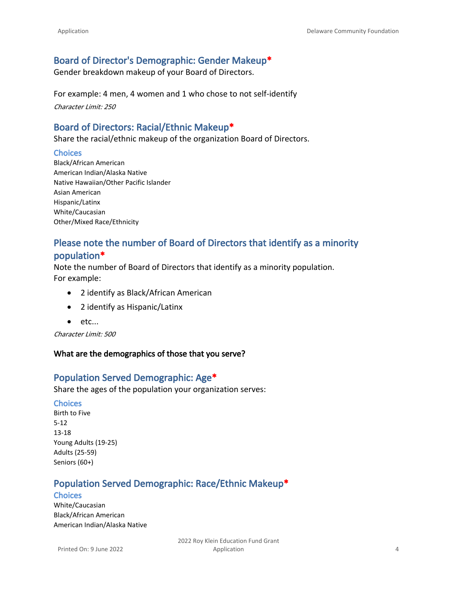## **Board of Director's Demographic: Gender Makeup\***

Gender breakdown makeup of your Board of Directors.

For example: 4 men, 4 women and 1 who chose to not self-identify *Character Limit: 250*

## **Board of Directors: Racial/Ethnic Makeup\***

Share the racial/ethnic makeup of the organization Board of Directors.

#### **Choices**

Black/African American American Indian/Alaska Native Native Hawaiian/Other Pacific Islander Asian American Hispanic/Latinx White/Caucasian Other/Mixed Race/Ethnicity

## **Please note the number of Board of Directors that identify as a minority population\***

Note the number of Board of Directors that identify as a minority population. For example:

- 2 identify as Black/African American
- 2 identify as Hispanic/Latinx
- etc...

*Character Limit: 500*

#### **What are the demographics of those that you serve?**

## **Population Served Demographic: Age\***

Share the ages of the population your organization serves:

#### **Choices**

Birth to Five 5-12 13-18 Young Adults (19-25) Adults (25-59) Seniors (60+)

## **Population Served Demographic: Race/Ethnic Makeup\***

#### **Choices**

White/Caucasian Black/African American American Indian/Alaska Native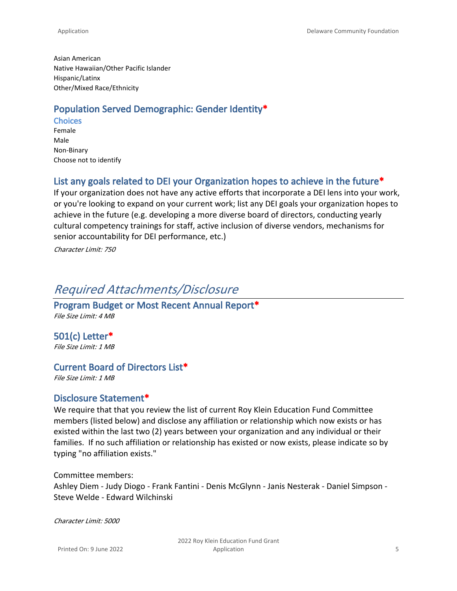Asian American Native Hawaiian/Other Pacific Islander Hispanic/Latinx Other/Mixed Race/Ethnicity

## **Population Served Demographic: Gender Identity\***

**Choices** Female Male Non-Binary Choose not to identify

## **List any goals related to DEI your Organization hopes to achieve in the future\***

If your organization does not have any active efforts that incorporate a DEI lens into your work, or you're looking to expand on your current work; list any DEI goals your organization hopes to achieve in the future (e.g. developing a more diverse board of directors, conducting yearly cultural competency trainings for staff, active inclusion of diverse vendors, mechanisms for senior accountability for DEI performance, etc.)

*Character Limit: 750*

## *Required Attachments/Disclosure*

**Program Budget or Most Recent Annual Report\*** *File Size Limit: 4 MB*

**501(c) Letter\*** *File Size Limit: 1 MB*

#### **Current Board of Directors List\***

*File Size Limit: 1 MB*

#### **Disclosure Statement\***

We require that that you review the list of current Roy Klein Education Fund Committee members (listed below) and disclose any affiliation or relationship which now exists or has existed within the last two (2) years between your organization and any individual or their families. If no such affiliation or relationship has existed or now exists, please indicate so by typing "no affiliation exists."

Committee members: Ashley Diem - Judy Diogo - Frank Fantini - Denis McGlynn - Janis Nesterak - Daniel Simpson - Steve Welde - Edward Wilchinski

*Character Limit: 5000*

2022 Roy Klein Education Fund Grant Application 5